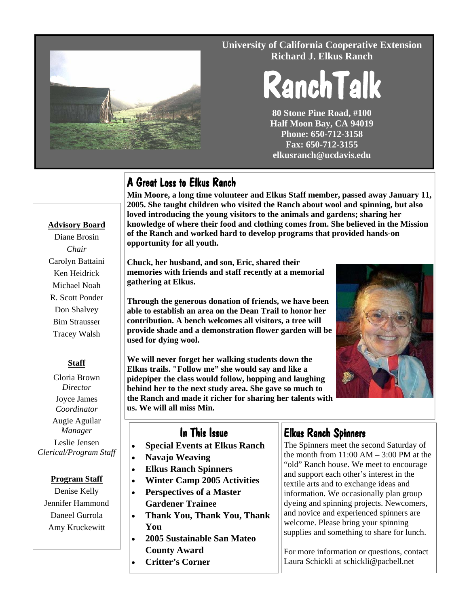

#### **University of California Cooperative Extension Richard J. Elkus Ranch**

# RanchTalk

**80 Stone Pine Road, #100 Half Moon Bay, CA 94019 Phone: 650-712-3158 Fax: 650-712-3155 elkusranch@ucdavis.edu** 

# A Great Loss to Elkus Ranch

**Min Moore, a long time volunteer and Elkus Staff member, passed away January 11, 2005. She taught children who visited the Ranch about wool and spinning, but also loved introducing the young visitors to the animals and gardens; sharing her knowledge of where their food and clothing comes from. She believed in the Mission of the Ranch and worked hard to develop programs that provided hands-on opportunity for all youth.** 

**Chuck, her husband, and son, Eric, shared their memories with friends and staff recently at a memorial gathering at Elkus.** 

**Through the generous donation of friends, we have been able to establish an area on the Dean Trail to honor her contribution. A bench welcomes all visitors, a tree will provide shade and a demonstration flower garden will be used for dying wool.** 

**We will never forget her walking students down the Elkus trails. "Follow me" she would say and like a pidepiper the class would follow, hopping and laughing behind her to the next study area. She gave so much to the Ranch and made it richer for sharing her talents with us. We will all miss Min.** 



#### In This Issue

- **Special Events at Elkus Ranch**
- **Navajo Weaving**
- **Elkus Ranch Spinners**
- **Winter Camp 2005 Activities**
- **Perspectives of a Master Gardener Trainee**
- **Thank You, Thank You, Thank You**
- **2005 Sustainable San Mateo County Award**
- **Critter's Corner**

# Elkus Ranch Spinners

The Spinners meet the second Saturday of the month from  $11:00$  AM  $- 3:00$  PM at the "old" Ranch house. We meet to encourage and support each other's interest in the textile arts and to exchange ideas and information. We occasionally plan group dyeing and spinning projects. Newcomers, and novice and experienced spinners are welcome. Please bring your spinning supplies and something to share for lunch.

For more information or questions, contact Laura Schickli at schickli@pacbell.net

### **Advisory Board**

Diane Brosin *Chair* Carolyn Battaini Ken Heidrick Michael Noah R. Scott Ponder Don Shalvey Bim Strausser Tracey Walsh

#### **Staff**

Gloria Brown *Director*  Joyce James *Coordinator*  Augie Aguilar *Manager*  Leslie Jensen *Clerical/Program Staff* 

#### **Program Staff**

Denise Kelly Jennifer Hammond Daneel Gurrola Amy Kruckewitt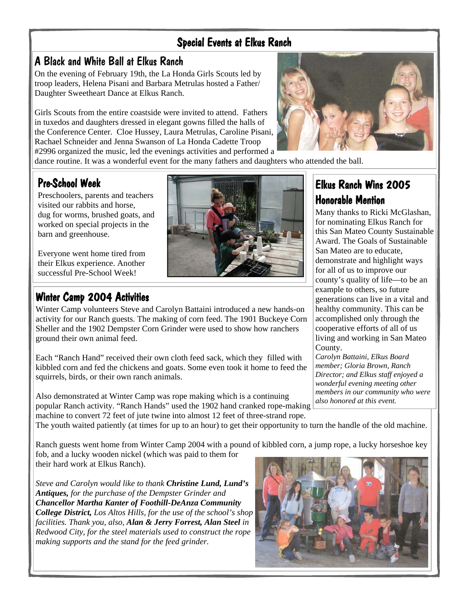### Special Events at Elkus Ranch

# A Black and White Ball at Elkus Ranch

On the evening of February 19th, the La Honda Girls Scouts led by troop leaders, Helena Pisani and Barbara Metrulas hosted a Father/ Daughter Sweetheart Dance at Elkus Ranch.

Girls Scouts from the entire coastside were invited to attend. Fathers in tuxedos and daughters dressed in elegant gowns filled the halls of the Conference Center. Cloe Hussey, Laura Metrulas, Caroline Pisani, Rachael Schneider and Jenna Swanson of La Honda Cadette Troop #2996 organized the music, led the evenings activities and performed a



dance routine. It was a wonderful event for the many fathers and daughters who attended the ball.

# Pre-School Week

Preschoolers, parents and teachers visited our rabbits and horse, dug for worms, brushed goats, and worked on special projects in the barn and greenhouse.

Everyone went home tired from their Elkus experience. Another successful Pre-School Week!

# Winter Camp 2004 Activities

Winter Camp volunteers Steve and Carolyn Battaini introduced a new hands-on activity for our Ranch guests. The making of corn feed. The 1901 Buckeye Corn Sheller and the 1902 Dempster Corn Grinder were used to show how ranchers ground their own animal feed.

Each "Ranch Hand" received their own cloth feed sack, which they filled with kibbled corn and fed the chickens and goats. Some even took it home to feed the squirrels, birds, or their own ranch animals.

Also demonstrated at Winter Camp was rope making which is a continuing popular Ranch activity. "Ranch Hands" used the 1902 hand cranked rope-making machine to convert 72 feet of jute twine into almost 12 feet of three-strand rope.

## Elkus Ranch Wins 2005 Honorable Mention

Many thanks to Ricki McGlashan, for nominating Elkus Ranch for this San Mateo County Sustainable Award. The Goals of Sustainable San Mateo are to educate, demonstrate and highlight ways for all of us to improve our county's quality of life—to be an example to others, so future generations can live in a vital and healthy community. This can be accomplished only through the cooperative efforts of all of us living and working in San Mateo County.

*Carolyn Battaini, Elkus Board member; Gloria Brown, Ranch Director; and Elkus staff enjoyed a wonderful evening meeting other members in our community who were also honored at this event.* 

The youth waited patiently (at times for up to an hour) to get their opportunity to turn the handle of the old machine.

Ranch guests went home from Winter Camp 2004 with a pound of kibbled corn, a jump rope, a lucky horseshoe key fob, and a lucky wooden nickel (which was paid to them for their hard work at Elkus Ranch).

*Steve and Carolyn would like to thank Christine Lund, Lund's Antiques, for the purchase of the Dempster Grinder and Chancellor Martha Kanter of Foothill-DeAnza Community College District, Los Altos Hills, for the use of the school's shop facilities. Thank you, also, Alan & Jerry Forrest, Alan Steel in Redwood City, for the steel materials used to construct the rope making supports and the stand for the feed grinder.*

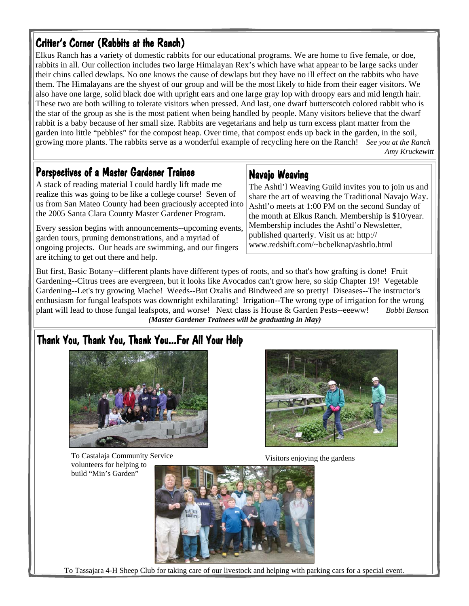# Critter's Corner (Rabbits at the Ranch)

Elkus Ranch has a variety of domestic rabbits for our educational programs. We are home to five female, or doe, rabbits in all. Our collection includes two large Himalayan Rex's which have what appear to be large sacks under their chins called dewlaps. No one knows the cause of dewlaps but they have no ill effect on the rabbits who have them. The Himalayans are the shyest of our group and will be the most likely to hide from their eager visitors. We also have one large, solid black doe with upright ears and one large gray lop with droopy ears and mid length hair. These two are both willing to tolerate visitors when pressed. And last, one dwarf butterscotch colored rabbit who is the star of the group as she is the most patient when being handled by people. Many visitors believe that the dwarf rabbit is a baby because of her small size. Rabbits are vegetarians and help us turn excess plant matter from the garden into little "pebbles" for the compost heap. Over time, that compost ends up back in the garden, in the soil, growing more plants. The rabbits serve as a wonderful example of recycling here on the Ranch! *See you at the Ranch Amy Kruckewitt* 

#### Perspectives of a Master Gardener Trainee

A stack of reading material I could hardly lift made me realize this was going to be like a college course! Seven of us from San Mateo County had been graciously accepted into the 2005 Santa Clara County Master Gardener Program.

Every session begins with announcements--upcoming events, garden tours, pruning demonstrations, and a myriad of ongoing projects. Our heads are swimming, and our fingers are itching to get out there and help.

#### Navajo Weaving

The Ashtl'l Weaving Guild invites you to join us and share the art of weaving the Traditional Navajo Way. Ashtl'o meets at 1:00 PM on the second Sunday of the month at Elkus Ranch. Membership is \$10/year. Membership includes the Ashtl'o Newsletter, published quarterly. Visit us at: http:// www.redshift.com/~bcbelknap/ashtlo.html

But first, Basic Botany--different plants have different types of roots, and so that's how grafting is done! Fruit Gardening--Citrus trees are evergreen, but it looks like Avocados can't grow here, so skip Chapter 19! Vegetable Gardening--Let's try growing Mache! Weeds--But Oxalis and Bindweed are so pretty! Diseases--The instructor's enthusiasm for fungal leafspots was downright exhilarating! Irrigation--The wrong type of irrigation for the wrong plant will lead to those fungal leafspots, and worse! Next class is House & Garden Pests--eeeww! *Bobbi Benson (Master Gardener Trainees will be graduating in May)* 

# Thank You, Thank You, Thank You...For All Your Help



To Castalaja Community Service volunteers for helping to build "Min's Garden"



Visitors enjoying the gardens



To Tassajara 4-H Sheep Club for taking care of our livestock and helping with parking cars for a special event.